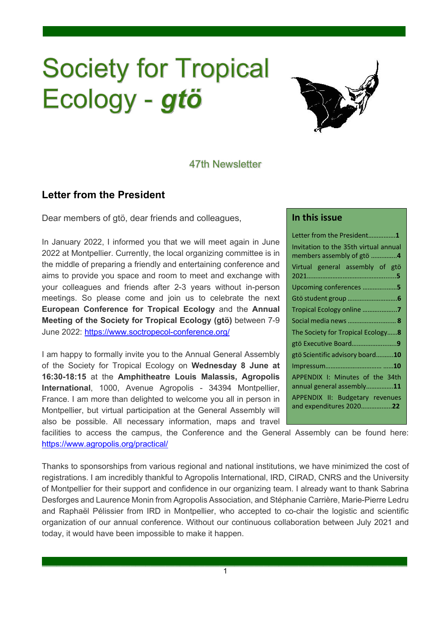# **Society for Tropical** Ecology - gtö



## 47th Newsletter

.

# **Letter from the President**

Dear members of gtö, dear friends and colleagues,

In January 2022, I informed you that we will meet again in June 2022 at Montpellier. Currently, the local organizing committee is in the middle of preparing a friendly and entertaining conference and aims to provide you space and room to meet and exchange with your colleagues and friends after 2-3 years without in-person meetings. So please come and join us to celebrate the next **European Conference for Tropical Ecology** and the **Annual Meeting of the Society for Tropical Ecology (gtö)** between 7-9 June 2022: https://www.soctropecol-conference.org/

I am happy to formally invite you to the Annual General Assembly of the Society for Tropical Ecology on **Wednesday 8 June at 16:30-18:15** at the **Amphitheatre Louis Malassis, Agropolis International**, 1000, Avenue Agropolis - 34394 Montpellier, France. I am more than delighted to welcome you all in person in Montpellier, but virtual participation at the General Assembly will also be possible. All necessary information, maps and travel

#### **In this issue**

| Letter from the President1                                         |  |  |  |
|--------------------------------------------------------------------|--|--|--|
| Invitation to the 35th virtual annual<br>members assembly of gtö 4 |  |  |  |
| Virtual general assembly of gtö                                    |  |  |  |
| Upcoming conferences 5                                             |  |  |  |
|                                                                    |  |  |  |
| Tropical Ecology online 7                                          |  |  |  |
| Social media news  8                                               |  |  |  |
| The Society for Tropical Ecology8                                  |  |  |  |
| gtö Executive Board9                                               |  |  |  |
| gtö Scientific advisory board10                                    |  |  |  |
|                                                                    |  |  |  |
| APPENDIX I: Minutes of the 34th<br>annual general assembly11       |  |  |  |
| APPENDIX II: Budgetary revenues<br>and expenditures 202022         |  |  |  |

facilities to access the campus, the Conference and the General Assembly can be found here: https://www.agropolis.org/practical/

Thanks to sponsorships from various regional and national institutions, we have minimized the cost of registrations. I am incredibly thankful to Agropolis International, IRD, CIRAD, CNRS and the University of Montpellier for their support and confidence in our organizing team. I already want to thank Sabrina Desforges and Laurence Monin from Agropolis Association, and Stéphanie Carrière, Marie-Pierre Ledru and Raphaël Pélissier from IRD in Montpellier, who accepted to co-chair the logistic and scientific organization of our annual conference. Without our continuous collaboration between July 2021 and today, it would have been impossible to make it happen.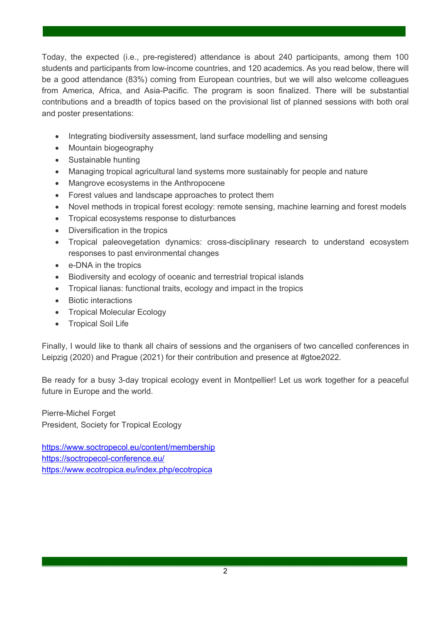Today, the expected (i.e., pre-registered) attendance is about 240 participants, among them 100 students and participants from low-income countries, and 120 academics. As you read below, there will be a good attendance (83%) coming from European countries, but we will also welcome colleagues from America, Africa, and Asia-Pacific. The program is soon finalized. There will be substantial contributions and a breadth of topics based on the provisional list of planned sessions with both oral and poster presentations:

.

- Integrating biodiversity assessment, land surface modelling and sensing
- Mountain biogeography
- Sustainable hunting
- Managing tropical agricultural land systems more sustainably for people and nature
- Mangrove ecosystems in the Anthropocene
- Forest values and landscape approaches to protect them
- Novel methods in tropical forest ecology: remote sensing, machine learning and forest models
- Tropical ecosystems response to disturbances
- Diversification in the tropics
- Tropical paleovegetation dynamics: cross-disciplinary research to understand ecosystem responses to past environmental changes
- e-DNA in the tropics
- Biodiversity and ecology of oceanic and terrestrial tropical islands
- Tropical lianas: functional traits, ecology and impact in the tropics
- Biotic interactions
- Tropical Molecular Ecology
- Tropical Soil Life

Finally, I would like to thank all chairs of sessions and the organisers of two cancelled conferences in Leipzig (2020) and Prague (2021) for their contribution and presence at #gtoe2022.

Be ready for a busy 3-day tropical ecology event in Montpellier! Let us work together for a peaceful future in Europe and the world.

Pierre-Michel Forget President, Society for Tropical Ecology

https://www.soctropecol.eu/content/membership https://soctropecol-conference.eu/ https://www.ecotropica.eu/index.php/ecotropica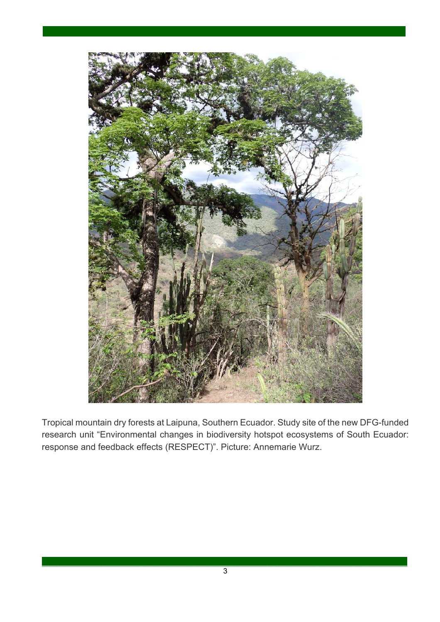

Tropical mountain dry forests at Laipuna, Southern Ecuador. Study site of the new DFG-funded research unit "Environmental changes in biodiversity hotspot ecosystems of South Ecuador: response and feedback effects (RESPECT)". Picture: Annemarie Wurz.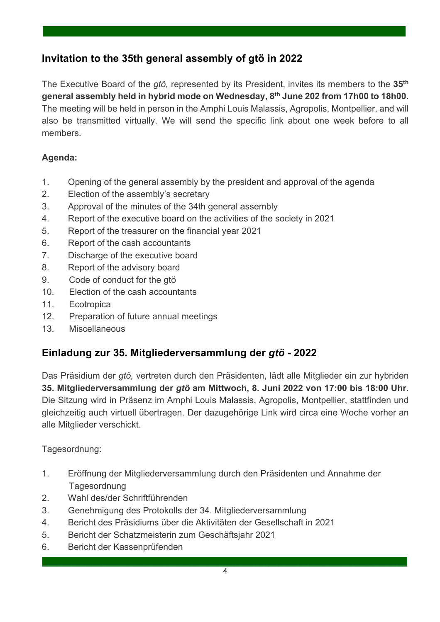# **Invitation to the 35th general assembly of gtö in 2022**

The Executive Board of the *gtö,* represented by its President, invites its members to the **35th general assembly held in hybrid mode on Wednesday, 8th June 202 from 17h00 to 18h00.**  The meeting will be held in person in the Amphi Louis Malassis, Agropolis, Montpellier, and will also be transmitted virtually. We will send the specific link about one week before to all members.

.

# **Agenda:**

- 1. Opening of the general assembly by the president and approval of the agenda
- 2. Election of the assembly's secretary
- 3. Approval of the minutes of the 34th general assembly
- 4. Report of the executive board on the activities of the society in 2021
- 5. Report of the treasurer on the financial year 2021
- 6. Report of the cash accountants
- 7. Discharge of the executive board
- 8. Report of the advisory board
- 9. Code of conduct for the gtö
- 10. Election of the cash accountants
- 11. Ecotropica
- 12. Preparation of future annual meetings
- 13. Miscellaneous

# **Einladung zur 35. Mitgliederversammlung der** *gtö* **- 2022**

Das Präsidium der *gtö,* vertreten durch den Präsidenten, lädt alle Mitglieder ein zur hybriden **35. Mitgliederversammlung der** *gtö* **am Mittwoch, 8. Juni 2022 von 17:00 bis 18:00 Uhr**. Die Sitzung wird in Präsenz im Amphi Louis Malassis, Agropolis, Montpellier, stattfinden und gleichzeitig auch virtuell übertragen. Der dazugehörige Link wird circa eine Woche vorher an alle Mitglieder verschickt.

Tagesordnung:

- 1. Eröffnung der Mitgliederversammlung durch den Präsidenten und Annahme der Tagesordnung
- 2. Wahl des/der Schriftführenden
- 3. Genehmigung des Protokolls der 34. Mitgliederversammlung
- 4. Bericht des Präsidiums über die Aktivitäten der Gesellschaft in 2021
- 5. Bericht der Schatzmeisterin zum Geschäftsjahr 2021
- 6. Bericht der Kassenprüfenden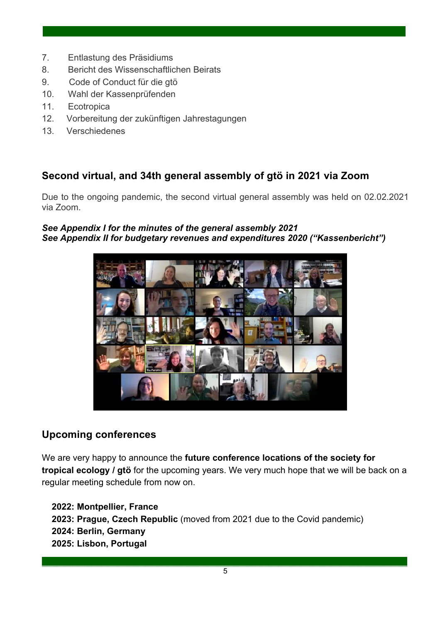- 7. Entlastung des Präsidiums
- 8. Bericht des Wissenschaftlichen Beirats
- 9. Code of Conduct für die gtö
- 10. Wahl der Kassenprüfenden
- 11. Ecotropica
- 12. Vorbereitung der zukünftigen Jahrestagungen
- 13. Verschiedenes

# **Second virtual, and 34th general assembly of gtö in 2021 via Zoom**

Due to the ongoing pandemic, the second virtual general assembly was held on 02.02.2021 via Zoom.

.

#### *See Appendix I for the minutes of the general assembly 2021 See Appendix II for budgetary revenues and expenditures 2020 ("Kassenbericht")*



# **Upcoming conferences**

We are very happy to announce the **future conference locations of the society for tropical ecology / gtö** for the upcoming years. We very much hope that we will be back on a regular meeting schedule from now on.

 **2022: Montpellier, France 2023: Prague, Czech Republic** (moved from 2021 due to the Covid pandemic)  **2024: Berlin, Germany 2025: Lisbon, Portugal**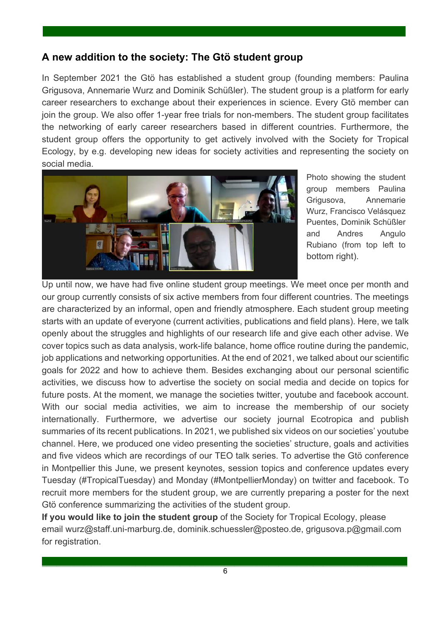# **A new addition to the society: The Gtö student group**

In September 2021 the Gtö has established a student group (founding members: Paulina Grigusova, Annemarie Wurz and Dominik Schüßler). The student group is a platform for early career researchers to exchange about their experiences in science. Every Gtö member can join the group. We also offer 1-year free trials for non-members. The student group facilitates the networking of early career researchers based in different countries. Furthermore, the student group offers the opportunity to get actively involved with the Society for Tropical Ecology, by e.g. developing new ideas for society activities and representing the society on social media.

.



Photo showing the student group members Paulina Grigusova, Annemarie Wurz, Francisco Velásquez Puentes, Dominik Schüßler and Andres Angulo Rubiano (from top left to bottom right).

Up until now, we have had five online student group meetings. We meet once per month and our group currently consists of six active members from four different countries. The meetings are characterized by an informal, open and friendly atmosphere. Each student group meeting starts with an update of everyone (current activities, publications and field plans). Here, we talk openly about the struggles and highlights of our research life and give each other advise. We cover topics such as data analysis, work-life balance, home office routine during the pandemic, job applications and networking opportunities. At the end of 2021, we talked about our scientific goals for 2022 and how to achieve them. Besides exchanging about our personal scientific activities, we discuss how to advertise the society on social media and decide on topics for future posts. At the moment, we manage the societies twitter, youtube and facebook account. With our social media activities, we aim to increase the membership of our society internationally. Furthermore, we advertise our society journal Ecotropica and publish summaries of its recent publications. In 2021, we published six videos on our societies' youtube channel. Here, we produced one video presenting the societies' structure, goals and activities and five videos which are recordings of our TEO talk series. To advertise the Gtö conference in Montpellier this June, we present keynotes, session topics and conference updates every Tuesday (#TropicalTuesday) and Monday (#MontpellierMonday) on twitter and facebook. To recruit more members for the student group, we are currently preparing a poster for the next Gtö conference summarizing the activities of the student group.

**If you would like to join the student group** of the Society for Tropical Ecology, please email wurz@staff.uni-marburg.de, dominik.schuessler@posteo.de, grigusova.p@gmail.com for registration.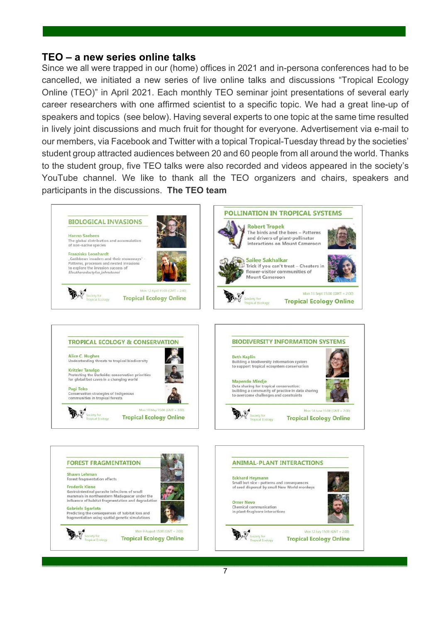#### **TEO – a new series online talks**

Since we all were trapped in our (home) offices in 2021 and in-persona conferences had to be cancelled, we initiated a new series of live online talks and discussions "Tropical Ecology Online (TEO)" in April 2021. Each monthly TEO seminar joint presentations of several early career researchers with one affirmed scientist to a specific topic. We had a great line-up of speakers and topics (see below). Having several experts to one topic at the same time resulted in lively joint discussions and much fruit for thought for everyone. Advertisement via e-mail to our members, via Facebook and Twitter with a topical Tropical-Tuesday thread by the societies' student group attracted audiences between 20 and 60 people from all around the world. Thanks to the student group, five TEO talks were also recorded and videos appeared in the society's YouTube channel. We like to thank all the TEO organizers and chairs, speakers and participants in the discussions. **The TEO team**

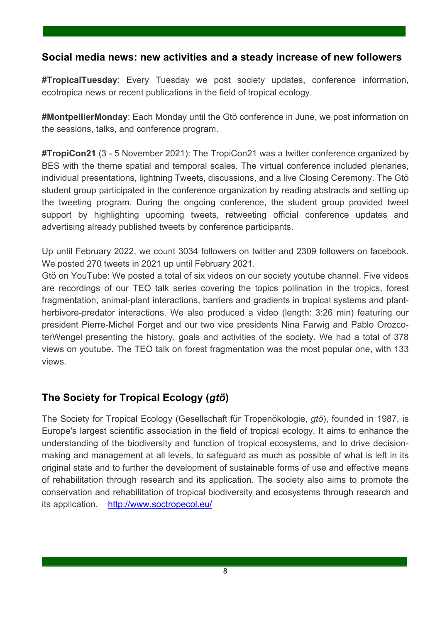# **Social media news: new activities and a steady increase of new followers**

.

**#TropicalTuesday**: Every Tuesday we post society updates, conference information, ecotropica news or recent publications in the field of tropical ecology.

**#MontpellierMonday**: Each Monday until the Gtö conference in June, we post information on the sessions, talks, and conference program.

**#TropiCon21** (3 - 5 November 2021): The TropiCon21 was a twitter conference organized by BES with the theme spatial and temporal scales. The virtual conference included plenaries, individual presentations, lightning Tweets, discussions, and a live Closing Ceremony. The Gtö student group participated in the conference organization by reading abstracts and setting up the tweeting program. During the ongoing conference, the student group provided tweet support by highlighting upcoming tweets, retweeting official conference updates and advertising already published tweets by conference participants.

Up until February 2022, we count 3034 followers on twitter and 2309 followers on facebook. We posted 270 tweets in 2021 up until February 2021.

Gtö on YouTube: We posted a total of six videos on our society youtube channel. Five videos are recordings of our TEO talk series covering the topics pollination in the tropics, forest fragmentation, animal-plant interactions, barriers and gradients in tropical systems and plantherbivore-predator interactions. We also produced a video (length: 3:26 min) featuring our president Pierre-Michel Forget and our two vice presidents Nina Farwig and Pablo OrozcoterWengel presenting the history, goals and activities of the society. We had a total of 378 views on youtube. The TEO talk on forest fragmentation was the most popular one, with 133 views.

# **The Society for Tropical Ecology (***gtö***)**

The Society for Tropical Ecology (Gesellschaft für Tropenökologie, *gtö*), founded in 1987, is Europe's largest scientific association in the field of tropical ecology. It aims to enhance the understanding of the biodiversity and function of tropical ecosystems, and to drive decisionmaking and management at all levels, to safeguard as much as possible of what is left in its original state and to further the development of sustainable forms of use and effective means of rehabilitation through research and its application. The society also aims to promote the conservation and rehabilitation of tropical biodiversity and ecosystems through research and its application. http://www.soctropecol.eu/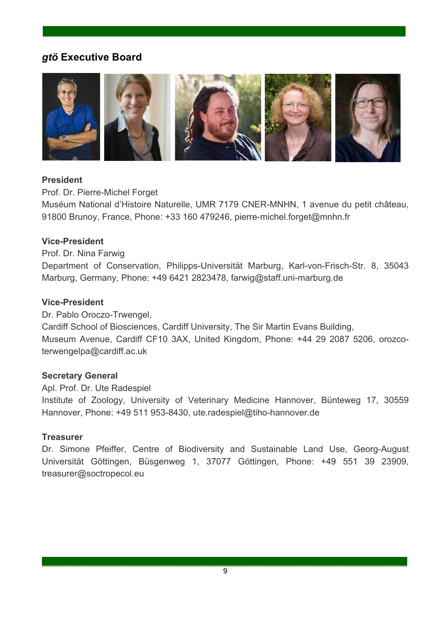# *gtö* **Executive Board**



.

#### **President**

Prof. Dr. Pierre-Michel Forget

Muséum National d'Histoire Naturelle, UMR 7179 CNER-MNHN, 1 avenue du petit château, 91800 Brunoy, France, Phone: +33 160 479246, pierre-michel.forget@mnhn.fr

#### **Vice-President**

Prof. Dr. Nina Farwig

Department of Conservation, Philipps-Universität Marburg, Karl-von-Frisch-Str. 8, 35043 Marburg, Germany, Phone: +49 6421 2823478, farwig@staff.uni-marburg.de

#### **Vice-President**

Dr. Pablo Oroczo-Trwengel, Cardiff School of Biosciences, Cardiff University, The Sir Martin Evans Building, Museum Avenue, Cardiff CF10 3AX, United Kingdom, Phone: +44 29 2087 5206, orozcoterwengelpa@cardiff.ac.uk

#### **Secretary General**

Apl. Prof. Dr. Ute Radespiel Institute of Zoology, University of Veterinary Medicine Hannover, Bünteweg 17, 30559 Hannover, Phone: +49 511 953-8430, ute.radespiel@tiho-hannover.de

#### **Treasurer**

Dr. Simone Pfeiffer, Centre of Biodiversity and Sustainable Land Use, Georg-August Universität Göttingen, Büsgenweg 1, 37077 Göttingen, Phone: +49 551 39 23909, treasurer@soctropecol.eu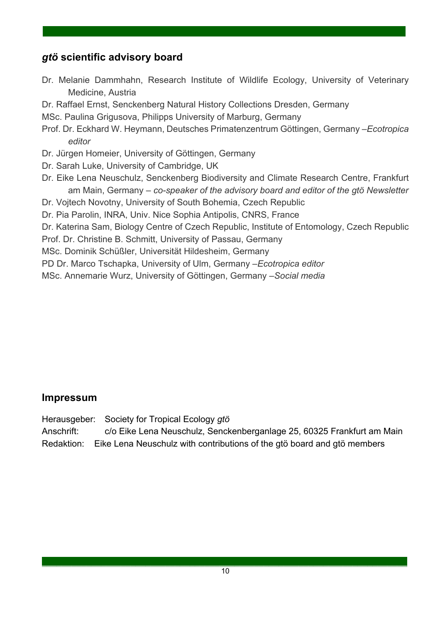# *gtö* **scientific advisory board**

Dr. Melanie Dammhahn, Research Institute of Wildlife Ecology, University of Veterinary Medicine, Austria

.

- Dr. Raffael Ernst, Senckenberg Natural History Collections Dresden, Germany
- MSc. Paulina Grigusova, Philipps University of Marburg, Germany
- Prof. Dr. Eckhard W. Heymann, Deutsches Primatenzentrum Göttingen, Germany –*Ecotropica editor*
- Dr. Jürgen Homeier, University of Göttingen, Germany
- Dr. Sarah Luke, University of Cambridge, UK
- Dr. Eike Lena Neuschulz, Senckenberg Biodiversity and Climate Research Centre, Frankfurt am Main, Germany – *co-speaker of the advisory board and editor of the gtö Newsletter*
- Dr. Vojtech Novotny, University of South Bohemia, Czech Republic
- Dr. Pia Parolin, INRA, Univ. Nice Sophia Antipolis, CNRS, France
- Dr. Katerina Sam, Biology Centre of Czech Republic, Institute of Entomology, Czech Republic
- Prof. Dr. Christine B. Schmitt, University of Passau, Germany
- MSc. Dominik Schüßler, Universität Hildesheim, Germany
- PD Dr. Marco Tschapka, University of Ulm, Germany *–Ecotropica editor*
- MSc. Annemarie Wurz, University of Göttingen, Germany *–Social media*

# **Impressum**

Herausgeber: Society for Tropical Ecology *gtö*

Anschrift: c/o Eike Lena Neuschulz, Senckenberganlage 25, 60325 Frankfurt am Main Redaktion: Eike Lena Neuschulz with contributions of the gtö board and gtö members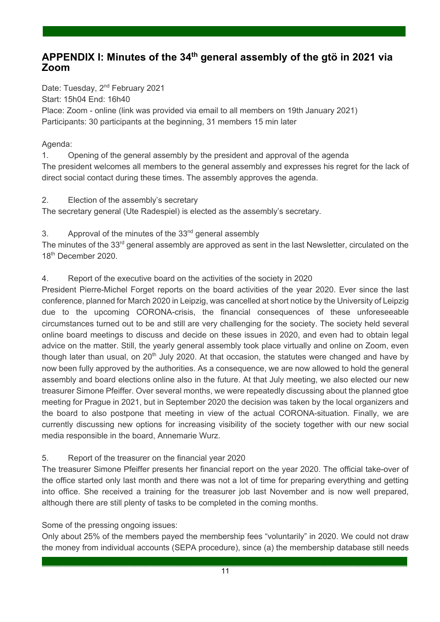# **APPENDIX I: Minutes of the 34th general assembly of the gtö in 2021 via Zoom**

.

Date: Tuesday, 2<sup>nd</sup> February 2021 Start: 15h04 End: 16h40 Place: Zoom - online (link was provided via email to all members on 19th January 2021) Participants: 30 participants at the beginning, 31 members 15 min later

#### Agenda:

1. Opening of the general assembly by the president and approval of the agenda The president welcomes all members to the general assembly and expresses his regret for the lack of direct social contact during these times. The assembly approves the agenda.

2. Election of the assembly's secretary

The secretary general (Ute Radespiel) is elected as the assembly's secretary.

3. Approval of the minutes of the  $33<sup>nd</sup>$  general assembly

The minutes of the 33<sup>rd</sup> general assembly are approved as sent in the last Newsletter, circulated on the 18th December 2020.

#### 4. Report of the executive board on the activities of the society in 2020

President Pierre-Michel Forget reports on the board activities of the year 2020. Ever since the last conference, planned for March 2020 in Leipzig, was cancelled at short notice by the University of Leipzig due to the upcoming CORONA-crisis, the financial consequences of these unforeseeable circumstances turned out to be and still are very challenging for the society. The society held several online board meetings to discuss and decide on these issues in 2020, and even had to obtain legal advice on the matter. Still, the yearly general assembly took place virtually and online on Zoom, even though later than usual, on  $20<sup>th</sup>$  July 2020. At that occasion, the statutes were changed and have by now been fully approved by the authorities. As a consequence, we are now allowed to hold the general assembly and board elections online also in the future. At that July meeting, we also elected our new treasurer Simone Pfeiffer. Over several months, we were repeatedly discussing about the planned gtoe meeting for Prague in 2021, but in September 2020 the decision was taken by the local organizers and the board to also postpone that meeting in view of the actual CORONA-situation. Finally, we are currently discussing new options for increasing visibility of the society together with our new social media responsible in the board, Annemarie Wurz.

#### 5. Report of the treasurer on the financial year 2020

The treasurer Simone Pfeiffer presents her financial report on the year 2020. The official take-over of the office started only last month and there was not a lot of time for preparing everything and getting into office. She received a training for the treasurer job last November and is now well prepared, although there are still plenty of tasks to be completed in the coming months.

Some of the pressing ongoing issues:

Only about 25% of the members payed the membership fees "voluntarily" in 2020. We could not draw the money from individual accounts (SEPA procedure), since (a) the membership database still needs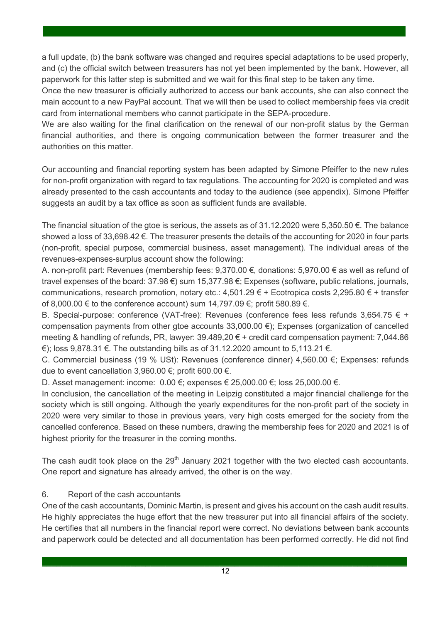a full update, (b) the bank software was changed and requires special adaptations to be used properly, and (c) the official switch between treasurers has not yet been implemented by the bank. However, all paperwork for this latter step is submitted and we wait for this final step to be taken any time.

.

Once the new treasurer is officially authorized to access our bank accounts, she can also connect the main account to a new PayPal account. That we will then be used to collect membership fees via credit card from international members who cannot participate in the SEPA-procedure.

We are also waiting for the final clarification on the renewal of our non-profit status by the German financial authorities, and there is ongoing communication between the former treasurer and the authorities on this matter.

Our accounting and financial reporting system has been adapted by Simone Pfeiffer to the new rules for non-profit organization with regard to tax regulations. The accounting for 2020 is completed and was already presented to the cash accountants and today to the audience (see appendix). Simone Pfeiffer suggests an audit by a tax office as soon as sufficient funds are available.

The financial situation of the gtoe is serious, the assets as of 31.12.2020 were 5,350.50 €. The balance showed a loss of 33,698.42 €. The treasurer presents the details of the accounting for 2020 in four parts (non-profit, special purpose, commercial business, asset management). The individual areas of the revenues-expenses-surplus account show the following:

A. non-profit part: Revenues (membership fees: 9,370.00 €, donations: 5,970.00 € as well as refund of travel expenses of the board: 37.98 €) sum 15,377.98 €; Expenses (software, public relations, journals, communications, research promotion, notary etc.: 4,501.29  $\epsilon$  + Ecotropica costs 2,295.80  $\epsilon$  + transfer of 8,000.00 € to the conference account) sum 14,797.09 €; profit 580.89 €.

B. Special-purpose: conference (VAT-free): Revenues (conference fees less refunds 3,654.75 € + compensation payments from other gtoe accounts 33,000.00 €); Expenses (organization of cancelled meeting & handling of refunds, PR, lawyer: 39.489,20 € + credit card compensation payment: 7,044.86 €); loss 9,878.31 €. The outstanding bills as of 31.12.2020 amount to 5,113.21 €.

C. Commercial business (19 % USt): Revenues (conference dinner) 4,560.00 €; Expenses: refunds due to event cancellation 3,960.00 €; profit 600.00 €.

D. Asset management: income: 0.00 €; expenses € 25,000.00 €; loss 25,000.00 €.

In conclusion, the cancellation of the meeting in Leipzig constituted a major financial challenge for the society which is still ongoing. Although the yearly expenditures for the non-profit part of the society in 2020 were very similar to those in previous years, very high costs emerged for the society from the cancelled conference. Based on these numbers, drawing the membership fees for 2020 and 2021 is of highest priority for the treasurer in the coming months.

The cash audit took place on the 29<sup>th</sup> January 2021 together with the two elected cash accountants. One report and signature has already arrived, the other is on the way.

#### 6. Report of the cash accountants

One of the cash accountants, Dominic Martin, is present and gives his account on the cash audit results. He highly appreciates the huge effort that the new treasurer put into all financial affairs of the society. He certifies that all numbers in the financial report were correct. No deviations between bank accounts and paperwork could be detected and all documentation has been performed correctly. He did not find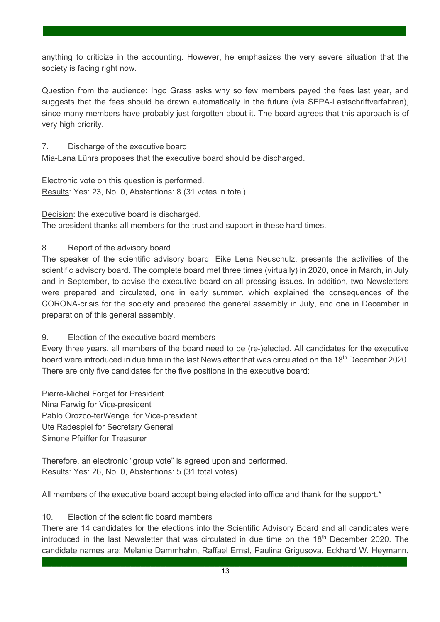anything to criticize in the accounting. However, he emphasizes the very severe situation that the society is facing right now.

.

Question from the audience: Ingo Grass asks why so few members payed the fees last year, and suggests that the fees should be drawn automatically in the future (via SEPA-Lastschriftverfahren), since many members have probably just forgotten about it. The board agrees that this approach is of very high priority.

7. Discharge of the executive board

Mia-Lana Lührs proposes that the executive board should be discharged.

Electronic vote on this question is performed. Results: Yes: 23, No: 0, Abstentions: 8 (31 votes in total)

Decision: the executive board is discharged.

The president thanks all members for the trust and support in these hard times.

8. Report of the advisory board

The speaker of the scientific advisory board, Eike Lena Neuschulz, presents the activities of the scientific advisory board. The complete board met three times (virtually) in 2020, once in March, in July and in September, to advise the executive board on all pressing issues. In addition, two Newsletters were prepared and circulated, one in early summer, which explained the consequences of the CORONA-crisis for the society and prepared the general assembly in July, and one in December in preparation of this general assembly.

9. Election of the executive board members

Every three years, all members of the board need to be (re-)elected. All candidates for the executive board were introduced in due time in the last Newsletter that was circulated on the 18<sup>th</sup> December 2020. There are only five candidates for the five positions in the executive board:

Pierre-Michel Forget for President Nina Farwig for Vice-president Pablo Orozco-terWengel for Vice-president Ute Radespiel for Secretary General Simone Pfeiffer for Treasurer

Therefore, an electronic "group vote" is agreed upon and performed. Results: Yes: 26, No: 0, Abstentions: 5 (31 total votes)

All members of the executive board accept being elected into office and thank for the support.\*

10. Election of the scientific board members

There are 14 candidates for the elections into the Scientific Advisory Board and all candidates were introduced in the last Newsletter that was circulated in due time on the 18<sup>th</sup> December 2020. The candidate names are: Melanie Dammhahn, Raffael Ernst, Paulina Grigusova, Eckhard W. Heymann,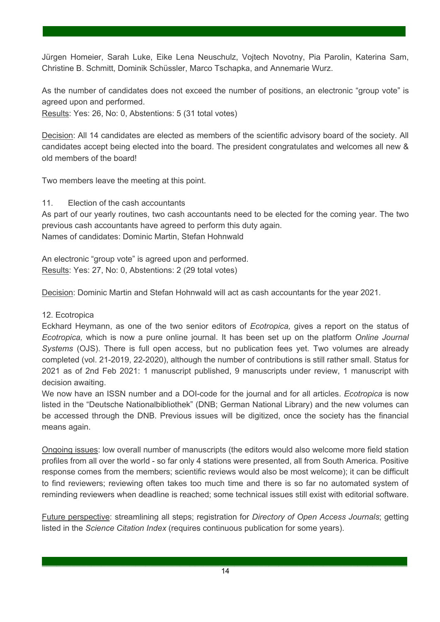Jürgen Homeier, Sarah Luke, Eike Lena Neuschulz, Vojtech Novotny, Pia Parolin, Katerina Sam, Christine B. Schmitt, Dominik Schüssler, Marco Tschapka, and Annemarie Wurz.

.

As the number of candidates does not exceed the number of positions, an electronic "group vote" is agreed upon and performed. Results: Yes: 26, No: 0, Abstentions: 5 (31 total votes)

Decision: All 14 candidates are elected as members of the scientific advisory board of the society. All candidates accept being elected into the board. The president congratulates and welcomes all new & old members of the board!

Two members leave the meeting at this point.

11. Election of the cash accountants

As part of our yearly routines, two cash accountants need to be elected for the coming year. The two previous cash accountants have agreed to perform this duty again. Names of candidates: Dominic Martin, Stefan Hohnwald

An electronic "group vote" is agreed upon and performed. Results: Yes: 27, No: 0, Abstentions: 2 (29 total votes)

Decision: Dominic Martin and Stefan Hohnwald will act as cash accountants for the year 2021.

#### 12. Ecotropica

Eckhard Heymann, as one of the two senior editors of *Ecotropica,* gives a report on the status of *Ecotropica,* which is now a pure online journal. It has been set up on the platform *Online Journal Systems* (OJS). There is full open access, but no publication fees yet. Two volumes are already completed (vol. 21-2019, 22-2020), although the number of contributions is still rather small. Status for 2021 as of 2nd Feb 2021: 1 manuscript published, 9 manuscripts under review, 1 manuscript with decision awaiting.

We now have an ISSN number and a DOI-code for the journal and for all articles. *Ecotropica* is now listed in the "Deutsche Nationalbibliothek" (DNB; German National Library) and the new volumes can be accessed through the DNB. Previous issues will be digitized, once the society has the financial means again.

Ongoing issues: low overall number of manuscripts (the editors would also welcome more field station profiles from all over the world - so far only 4 stations were presented, all from South America. Positive response comes from the members; scientific reviews would also be most welcome); it can be difficult to find reviewers; reviewing often takes too much time and there is so far no automated system of reminding reviewers when deadline is reached; some technical issues still exist with editorial software.

Future perspective: streamlining all steps; registration for *Directory of Open Access Journals*; getting listed in the *Science Citation Index* (requires continuous publication for some years).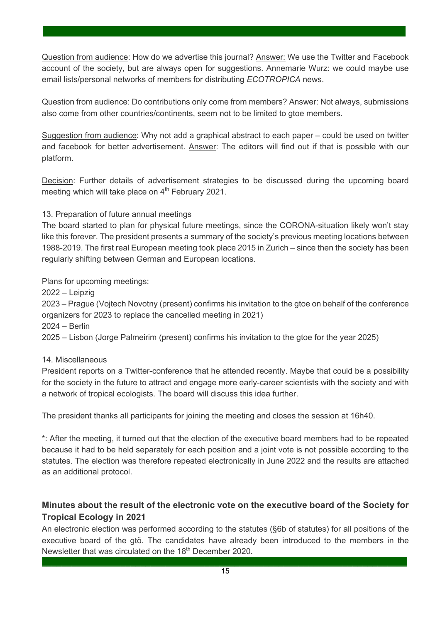Question from audience: How do we advertise this journal? Answer: We use the Twitter and Facebook account of the society, but are always open for suggestions. Annemarie Wurz: we could maybe use email lists/personal networks of members for distributing *ECOTROPICA* news.

.

Question from audience: Do contributions only come from members? Answer: Not always, submissions also come from other countries/continents, seem not to be limited to gtoe members.

Suggestion from audience: Why not add a graphical abstract to each paper – could be used on twitter and facebook for better advertisement. Answer: The editors will find out if that is possible with our platform.

Decision: Further details of advertisement strategies to be discussed during the upcoming board meeting which will take place on  $4<sup>th</sup>$  February 2021.

13. Preparation of future annual meetings

The board started to plan for physical future meetings, since the CORONA-situation likely won't stay like this forever. The president presents a summary of the society's previous meeting locations between 1988-2019. The first real European meeting took place 2015 in Zurich – since then the society has been regularly shifting between German and European locations.

Plans for upcoming meetings:

2022 – Leipzig

2023 – Prague (Vojtech Novotny (present) confirms his invitation to the gtoe on behalf of the conference organizers for 2023 to replace the cancelled meeting in 2021)

2024 – Berlin

2025 – Lisbon (Jorge Palmeirim (present) confirms his invitation to the gtoe for the year 2025)

#### 14. Miscellaneous

President reports on a Twitter-conference that he attended recently. Maybe that could be a possibility for the society in the future to attract and engage more early-career scientists with the society and with a network of tropical ecologists. The board will discuss this idea further.

The president thanks all participants for joining the meeting and closes the session at 16h40.

\*: After the meeting, it turned out that the election of the executive board members had to be repeated because it had to be held separately for each position and a joint vote is not possible according to the statutes. The election was therefore repeated electronically in June 2022 and the results are attached as an additional protocol.

#### **Minutes about the result of the electronic vote on the executive board of the Society for Tropical Ecology in 2021**

An electronic election was performed according to the statutes (§6b of statutes) for all positions of the executive board of the gtö. The candidates have already been introduced to the members in the Newsletter that was circulated on the 18<sup>th</sup> December 2020.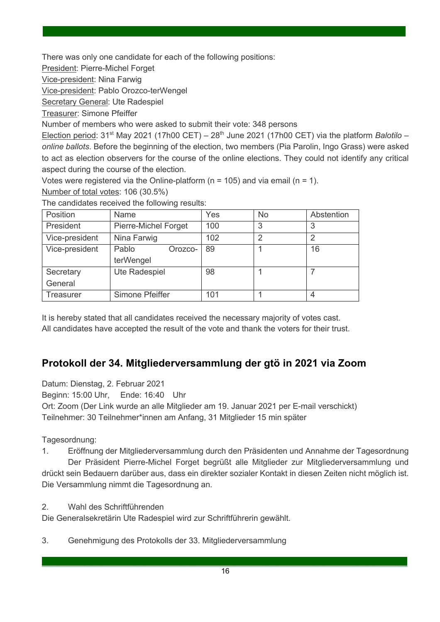There was only one candidate for each of the following positions:

President: Pierre-Michel Forget

Vice-president: Nina Farwig

Vice-president: Pablo Orozco-terWengel

Secretary General: Ute Radespiel

Treasurer: Simone Pfeiffer

Number of members who were asked to submit their vote: 348 persons

Election period: 31<sup>st</sup> May 2021 (17h00 CET) – 28<sup>th</sup> June 2021 (17h00 CET) via the platform *Balotilo* – *online ballots.* Before the beginning of the election, two members (Pia Parolin, Ingo Grass) were asked to act as election observers for the course of the online elections. They could not identify any critical aspect during the course of the election.

.

Votes were registered via the Online-platform ( $n = 105$ ) and via email ( $n = 1$ ).

Number of total votes: 106 (30.5%)

The candidates received the following results:

| Position       | Name                 | Yes | <b>No</b> | Abstention |
|----------------|----------------------|-----|-----------|------------|
| President      | Pierre-Michel Forget | 100 | 3         | 3          |
| Vice-president | Nina Farwig          | 102 | ာ         | っ          |
| Vice-president | Pablo<br>Orozco-     | 89  |           | 16         |
|                | terWengel            |     |           |            |
| Secretary      | Ute Radespiel        | 98  |           |            |
| General        |                      |     |           |            |
| Treasurer      | Simone Pfeiffer      | 101 |           | 4          |

It is hereby stated that all candidates received the necessary majority of votes cast. All candidates have accepted the result of the vote and thank the voters for their trust.

# **Protokoll der 34. Mitgliederversammlung der gtö in 2021 via Zoom**

Datum: Dienstag, 2. Februar 2021 Beginn: 15:00 Uhr, Ende: 16:40 Uhr Ort: Zoom (Der Link wurde an alle Mitglieder am 19. Januar 2021 per E-mail verschickt) Teilnehmer: 30 Teilnehmer\*innen am Anfang, 31 Mitglieder 15 min später

Tagesordnung:

1. Eröffnung der Mitgliederversammlung durch den Präsidenten und Annahme der Tagesordnung Der Präsident Pierre-Michel Forget begrüßt alle Mitglieder zur Mitgliederversammlung und

drückt sein Bedauern darüber aus, dass ein direkter sozialer Kontakt in diesen Zeiten nicht möglich ist. Die Versammlung nimmt die Tagesordnung an.

2. Wahl des Schriftführenden

Die Generalsekretärin Ute Radespiel wird zur Schriftführerin gewählt.

3. Genehmigung des Protokolls der 33. Mitgliederversammlung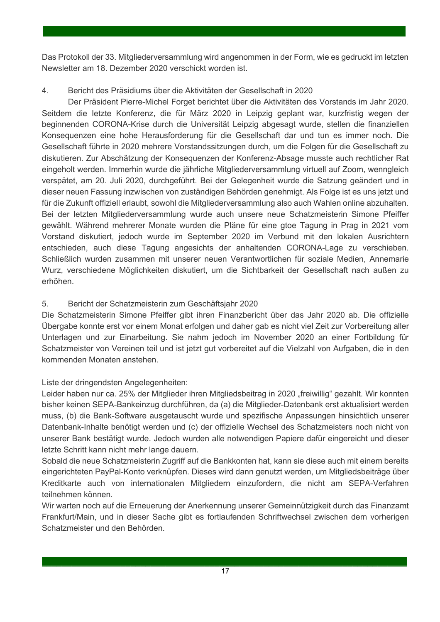Das Protokoll der 33. Mitgliederversammlung wird angenommen in der Form, wie es gedruckt im letzten Newsletter am 18. Dezember 2020 verschickt worden ist.

.

#### 4. Bericht des Präsidiums über die Aktivitäten der Gesellschaft in 2020

Der Präsident Pierre-Michel Forget berichtet über die Aktivitäten des Vorstands im Jahr 2020. Seitdem die letzte Konferenz, die für März 2020 in Leipzig geplant war, kurzfristig wegen der beginnenden CORONA-Krise durch die Universität Leipzig abgesagt wurde, stellen die finanziellen Konsequenzen eine hohe Herausforderung für die Gesellschaft dar und tun es immer noch. Die Gesellschaft führte in 2020 mehrere Vorstandssitzungen durch, um die Folgen für die Gesellschaft zu diskutieren. Zur Abschätzung der Konsequenzen der Konferenz-Absage musste auch rechtlicher Rat eingeholt werden. Immerhin wurde die jährliche Mitgliederversammlung virtuell auf Zoom, wenngleich verspätet, am 20. Juli 2020, durchgeführt. Bei der Gelegenheit wurde die Satzung geändert und in dieser neuen Fassung inzwischen von zuständigen Behörden genehmigt. Als Folge ist es uns jetzt und für die Zukunft offiziell erlaubt, sowohl die Mitgliederversammlung also auch Wahlen online abzuhalten. Bei der letzten Mitgliederversammlung wurde auch unsere neue Schatzmeisterin Simone Pfeiffer gewählt. Während mehrerer Monate wurden die Pläne für eine gtoe Tagung in Prag in 2021 vom Vorstand diskutiert, jedoch wurde im September 2020 im Verbund mit den lokalen Ausrichtern entschieden, auch diese Tagung angesichts der anhaltenden CORONA-Lage zu verschieben. Schließlich wurden zusammen mit unserer neuen Verantwortlichen für soziale Medien, Annemarie Wurz, verschiedene Möglichkeiten diskutiert, um die Sichtbarkeit der Gesellschaft nach außen zu erhöhen.

#### 5. Bericht der Schatzmeisterin zum Geschäftsjahr 2020

Die Schatzmeisterin Simone Pfeiffer gibt ihren Finanzbericht über das Jahr 2020 ab. Die offizielle Übergabe konnte erst vor einem Monat erfolgen und daher gab es nicht viel Zeit zur Vorbereitung aller Unterlagen und zur Einarbeitung. Sie nahm jedoch im November 2020 an einer Fortbildung für Schatzmeister von Vereinen teil und ist jetzt gut vorbereitet auf die Vielzahl von Aufgaben, die in den kommenden Monaten anstehen.

Liste der dringendsten Angelegenheiten:

Leider haben nur ca. 25% der Mitglieder ihren Mitgliedsbeitrag in 2020 "freiwillig" gezahlt. Wir konnten bisher keinen SEPA-Bankeinzug durchführen, da (a) die Mitglieder-Datenbank erst aktualisiert werden muss, (b) die Bank-Software ausgetauscht wurde und spezifische Anpassungen hinsichtlich unserer Datenbank-Inhalte benötigt werden und (c) der offizielle Wechsel des Schatzmeisters noch nicht von unserer Bank bestätigt wurde. Jedoch wurden alle notwendigen Papiere dafür eingereicht und dieser letzte Schritt kann nicht mehr lange dauern.

Sobald die neue Schatzmeisterin Zugriff auf die Bankkonten hat, kann sie diese auch mit einem bereits eingerichteten PayPal-Konto verknüpfen. Dieses wird dann genutzt werden, um Mitgliedsbeiträge über Kreditkarte auch von internationalen Mitgliedern einzufordern, die nicht am SEPA-Verfahren teilnehmen können.

Wir warten noch auf die Erneuerung der Anerkennung unserer Gemeinnützigkeit durch das Finanzamt Frankfurt/Main, und in dieser Sache gibt es fortlaufenden Schriftwechsel zwischen dem vorherigen Schatzmeister und den Behörden.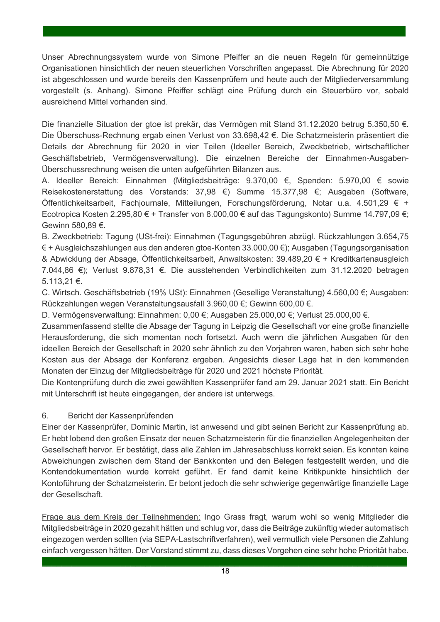Unser Abrechnungssystem wurde von Simone Pfeiffer an die neuen Regeln für gemeinnützige Organisationen hinsichtlich der neuen steuerlichen Vorschriften angepasst. Die Abrechnung für 2020 ist abgeschlossen und wurde bereits den Kassenprüfern und heute auch der Mitgliederversammlung vorgestellt (s. Anhang). Simone Pfeiffer schlägt eine Prüfung durch ein Steuerbüro vor, sobald ausreichend Mittel vorhanden sind.

.

Die finanzielle Situation der gtoe ist prekär, das Vermögen mit Stand 31.12.2020 betrug 5.350,50 €. Die Überschuss-Rechnung ergab einen Verlust von 33.698,42 €. Die Schatzmeisterin präsentiert die Details der Abrechnung für 2020 in vier Teilen (Ideeller Bereich, Zweckbetrieb, wirtschaftlicher Geschäftsbetrieb, Vermögensverwaltung). Die einzelnen Bereiche der Einnahmen-Ausgaben-Überschussrechnung weisen die unten aufgeführten Bilanzen aus.

A. Ideeller Bereich: Einnahmen (Mitgliedsbeiträge: 9.370,00 €, Spenden: 5.970,00 € sowie Reisekostenerstattung des Vorstands: 37,98 €) Summe 15.377,98 €; Ausgaben (Software, Öffentlichkeitsarbeit, Fachjournale, Mitteilungen, Forschungsförderung, Notar u.a. 4.501,29 € + Ecotropica Kosten 2.295,80 € + Transfer von 8.000,00 € auf das Tagungskonto) Summe 14.797,09 €; Gewinn 580,89 €.

B. Zweckbetrieb: Tagung (USt-frei): Einnahmen (Tagungsgebühren abzügl. Rückzahlungen 3.654,75 € + Ausgleichszahlungen aus den anderen gtoe-Konten 33.000,00 €); Ausgaben (Tagungsorganisation & Abwicklung der Absage, Öffentlichkeitsarbeit, Anwaltskosten: 39.489,20 € + Kreditkartenausgleich 7.044,86 €); Verlust 9.878,31 €. Die ausstehenden Verbindlichkeiten zum 31.12.2020 betragen 5.113,21 €.

C. Wirtsch. Geschäftsbetrieb (19% USt): Einnahmen (Gesellige Veranstaltung) 4.560,00 €; Ausgaben: Rückzahlungen wegen Veranstaltungsausfall 3.960,00 €; Gewinn 600,00 €.

D. Vermögensverwaltung: Einnahmen: 0,00 €; Ausgaben 25.000,00 €; Verlust 25.000,00 €.

Zusammenfassend stellte die Absage der Tagung in Leipzig die Gesellschaft vor eine große finanzielle Herausforderung, die sich momentan noch fortsetzt. Auch wenn die jährlichen Ausgaben für den ideellen Bereich der Gesellschaft in 2020 sehr ähnlich zu den Vorjahren waren, haben sich sehr hohe Kosten aus der Absage der Konferenz ergeben. Angesichts dieser Lage hat in den kommenden Monaten der Einzug der Mitgliedsbeiträge für 2020 und 2021 höchste Priorität.

Die Kontenprüfung durch die zwei gewählten Kassenprüfer fand am 29. Januar 2021 statt. Ein Bericht mit Unterschrift ist heute eingegangen, der andere ist unterwegs.

#### 6. Bericht der Kassenprüfenden

Einer der Kassenprüfer, Dominic Martin, ist anwesend und gibt seinen Bericht zur Kassenprüfung ab. Er hebt lobend den großen Einsatz der neuen Schatzmeisterin für die finanziellen Angelegenheiten der Gesellschaft hervor. Er bestätigt, dass alle Zahlen im Jahresabschluss korrekt seien. Es konnten keine Abweichungen zwischen dem Stand der Bankkonten und den Belegen festgestellt werden, und die Kontendokumentation wurde korrekt geführt. Er fand damit keine Kritikpunkte hinsichtlich der Kontoführung der Schatzmeisterin. Er betont jedoch die sehr schwierige gegenwärtige finanzielle Lage der Gesellschaft.

Frage aus dem Kreis der Teilnehmenden: Ingo Grass fragt, warum wohl so wenig Mitglieder die Mitgliedsbeiträge in 2020 gezahlt hätten und schlug vor, dass die Beiträge zukünftig wieder automatisch eingezogen werden sollten (via SEPA-Lastschriftverfahren), weil vermutlich viele Personen die Zahlung einfach vergessen hätten. Der Vorstand stimmt zu, dass dieses Vorgehen eine sehr hohe Priorität habe.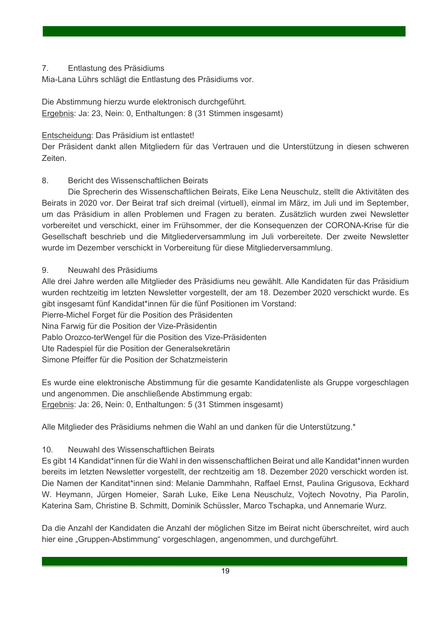#### 7. Entlastung des Präsidiums

Mia-Lana Lührs schlägt die Entlastung des Präsidiums vor.

Die Abstimmung hierzu wurde elektronisch durchgeführt. Ergebnis: Ja: 23, Nein: 0, Enthaltungen: 8 (31 Stimmen insgesamt)

Entscheidung: Das Präsidium ist entlastet!

Der Präsident dankt allen Mitgliedern für das Vertrauen und die Unterstützung in diesen schweren Zeiten.

.

#### 8. Bericht des Wissenschaftlichen Beirats

Die Sprecherin des Wissenschaftlichen Beirats, Eike Lena Neuschulz, stellt die Aktivitäten des Beirats in 2020 vor. Der Beirat traf sich dreimal (virtuell), einmal im März, im Juli und im September, um das Präsidium in allen Problemen und Fragen zu beraten. Zusätzlich wurden zwei Newsletter vorbereitet und verschickt, einer im Frühsommer, der die Konsequenzen der CORONA-Krise für die Gesellschaft beschrieb und die Mitgliederversammlung im Juli vorbereitete. Der zweite Newsletter wurde im Dezember verschickt in Vorbereitung für diese Mitgliederversammlung.

#### 9. Neuwahl des Präsidiums

Alle drei Jahre werden alle Mitglieder des Präsidiums neu gewählt. Alle Kandidaten für das Präsidium wurden rechtzeitig im letzten Newsletter vorgestellt, der am 18. Dezember 2020 verschickt wurde. Es gibt insgesamt fünf Kandidat\*innen für die fünf Positionen im Vorstand:

Pierre-Michel Forget für die Position des Präsidenten

Nina Farwig für die Position der Vize-Präsidentin

Pablo Orozco-terWengel für die Position des Vize-Präsidenten

Ute Radespiel für die Position der Generalsekretärin

Simone Pfeiffer für die Position der Schatzmeisterin

Es wurde eine elektronische Abstimmung für die gesamte Kandidatenliste als Gruppe vorgeschlagen und angenommen. Die anschließende Abstimmung ergab: Ergebnis: Ja: 26, Nein: 0, Enthaltungen: 5 (31 Stimmen insgesamt)

Alle Mitglieder des Präsidiums nehmen die Wahl an und danken für die Unterstützung.\*

#### 10. Neuwahl des Wissenschaftlichen Beirats

Es gibt 14 Kandidat\*innen für die Wahl in den wissenschaftlichen Beirat und alle Kandidat\*innen wurden bereits im letzten Newsletter vorgestellt, der rechtzeitig am 18. Dezember 2020 verschickt worden ist. Die Namen der Kanditat\*innen sind: Melanie Dammhahn, Raffael Ernst, Paulina Grigusova, Eckhard W. Heymann, Jürgen Homeier, Sarah Luke, Eike Lena Neuschulz, Vojtech Novotny, Pia Parolin, Katerina Sam, Christine B. Schmitt, Dominik Schüssler, Marco Tschapka, und Annemarie Wurz.

Da die Anzahl der Kandidaten die Anzahl der möglichen Sitze im Beirat nicht überschreitet, wird auch hier eine "Gruppen-Abstimmung" vorgeschlagen, angenommen, und durchgeführt.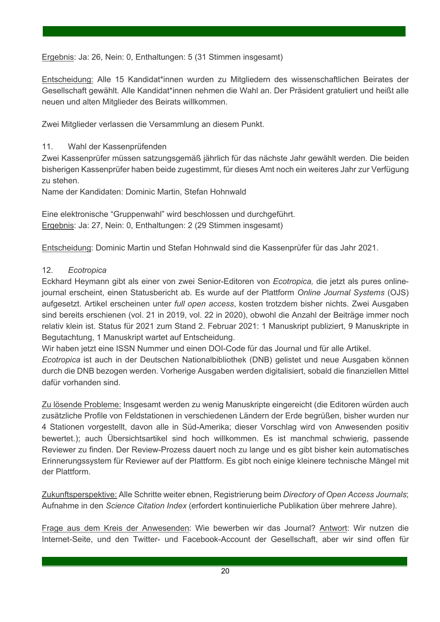Ergebnis: Ja: 26, Nein: 0, Enthaltungen: 5 (31 Stimmen insgesamt)

Entscheidung: Alle 15 Kandidat\*innen wurden zu Mitgliedern des wissenschaftlichen Beirates der Gesellschaft gewählt. Alle Kandidat\*innen nehmen die Wahl an. Der Präsident gratuliert und heißt alle neuen und alten Mitglieder des Beirats willkommen.

.

Zwei Mitglieder verlassen die Versammlung an diesem Punkt.

#### 11. Wahl der Kassenprüfenden

Zwei Kassenprüfer müssen satzungsgemäß jährlich für das nächste Jahr gewählt werden. Die beiden bisherigen Kassenprüfer haben beide zugestimmt, für dieses Amt noch ein weiteres Jahr zur Verfügung zu stehen.

Name der Kandidaten: Dominic Martin, Stefan Hohnwald

Eine elektronische "Gruppenwahl" wird beschlossen und durchgeführt. Ergebnis: Ja: 27, Nein: 0, Enthaltungen: 2 (29 Stimmen insgesamt)

Entscheidung: Dominic Martin und Stefan Hohnwald sind die Kassenprüfer für das Jahr 2021.

#### 12. *Ecotropica*

Eckhard Heymann gibt als einer von zwei Senior-Editoren von *Ecotropica,* die jetzt als pures onlinejournal erscheint, einen Statusbericht ab. Es wurde auf der Plattform *Online Journal Systems* (OJS) aufgesetzt. Artikel erscheinen unter *full open access*, kosten trotzdem bisher nichts. Zwei Ausgaben sind bereits erschienen (vol. 21 in 2019, vol. 22 in 2020), obwohl die Anzahl der Beiträge immer noch relativ klein ist. Status für 2021 zum Stand 2. Februar 2021: 1 Manuskript publiziert, 9 Manuskripte in Begutachtung, 1 Manuskript wartet auf Entscheidung.

Wir haben jetzt eine ISSN Nummer und einen DOI-Code für das Journal und für alle Artikel.

*Ecotropica* ist auch in der Deutschen Nationalbibliothek (DNB) gelistet und neue Ausgaben können durch die DNB bezogen werden. Vorherige Ausgaben werden digitalisiert, sobald die finanziellen Mittel dafür vorhanden sind.

Zu lösende Probleme: Insgesamt werden zu wenig Manuskripte eingereicht (die Editoren würden auch zusätzliche Profile von Feldstationen in verschiedenen Ländern der Erde begrüßen, bisher wurden nur 4 Stationen vorgestellt, davon alle in Süd-Amerika; dieser Vorschlag wird von Anwesenden positiv bewertet.); auch Übersichtsartikel sind hoch willkommen. Es ist manchmal schwierig, passende Reviewer zu finden. Der Review-Prozess dauert noch zu lange und es gibt bisher kein automatisches Erinnerungssystem für Reviewer auf der Plattform. Es gibt noch einige kleinere technische Mängel mit der Plattform.

Zukunftsperspektive: Alle Schritte weiter ebnen, Registrierung beim *Directory of Open Access Journals*; Aufnahme in den *Science Citation Index* (erfordert kontinuierliche Publikation über mehrere Jahre).

Frage aus dem Kreis der Anwesenden: Wie bewerben wir das Journal? Antwort: Wir nutzen die Internet-Seite, und den Twitter- und Facebook-Account der Gesellschaft, aber wir sind offen für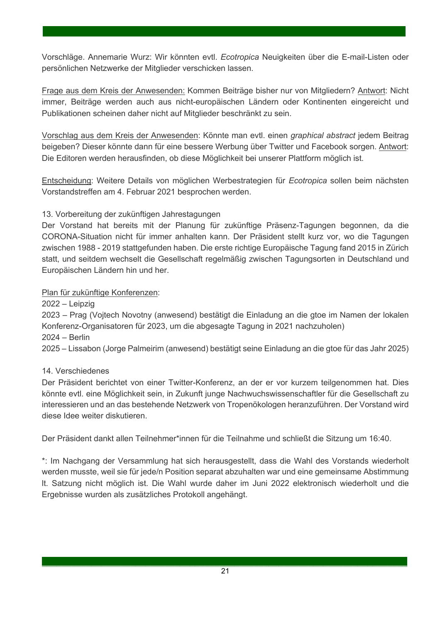Vorschläge. Annemarie Wurz: Wir könnten evtl. *Ecotropica* Neuigkeiten über die E-mail-Listen oder persönlichen Netzwerke der Mitglieder verschicken lassen.

.

Frage aus dem Kreis der Anwesenden: Kommen Beiträge bisher nur von Mitgliedern? Antwort: Nicht immer, Beiträge werden auch aus nicht-europäischen Ländern oder Kontinenten eingereicht und Publikationen scheinen daher nicht auf Mitglieder beschränkt zu sein.

Vorschlag aus dem Kreis der Anwesenden: Könnte man evtl. einen *graphical abstract* jedem Beitrag beigeben? Dieser könnte dann für eine bessere Werbung über Twitter und Facebook sorgen. Antwort: Die Editoren werden herausfinden, ob diese Möglichkeit bei unserer Plattform möglich ist.

Entscheidung: Weitere Details von möglichen Werbestrategien für *Ecotropica* sollen beim nächsten Vorstandstreffen am 4. Februar 2021 besprochen werden.

#### 13. Vorbereitung der zukünftigen Jahrestagungen

Der Vorstand hat bereits mit der Planung für zukünftige Präsenz-Tagungen begonnen, da die CORONA-Situation nicht für immer anhalten kann. Der Präsident stellt kurz vor, wo die Tagungen zwischen 1988 - 2019 stattgefunden haben. Die erste richtige Europäische Tagung fand 2015 in Zürich statt, und seitdem wechselt die Gesellschaft regelmäßig zwischen Tagungsorten in Deutschland und Europäischen Ländern hin und her.

#### Plan für zukünftige Konferenzen:

2022 – Leipzig

2023 – Prag (Vojtech Novotny (anwesend) bestätigt die Einladung an die gtoe im Namen der lokalen Konferenz-Organisatoren für 2023, um die abgesagte Tagung in 2021 nachzuholen)

2024 – Berlin

2025 – Lissabon (Jorge Palmeirim (anwesend) bestätigt seine Einladung an die gtoe für das Jahr 2025)

#### 14. Verschiedenes

Der Präsident berichtet von einer Twitter-Konferenz, an der er vor kurzem teilgenommen hat. Dies könnte evtl. eine Möglichkeit sein, in Zukunft junge Nachwuchswissenschaftler für die Gesellschaft zu interessieren und an das bestehende Netzwerk von Tropenökologen heranzuführen. Der Vorstand wird diese Idee weiter diskutieren.

Der Präsident dankt allen Teilnehmer\*innen für die Teilnahme und schließt die Sitzung um 16:40.

\*: Im Nachgang der Versammlung hat sich herausgestellt, dass die Wahl des Vorstands wiederholt werden musste, weil sie für jede/n Position separat abzuhalten war und eine gemeinsame Abstimmung lt. Satzung nicht möglich ist. Die Wahl wurde daher im Juni 2022 elektronisch wiederholt und die Ergebnisse wurden als zusätzliches Protokoll angehängt.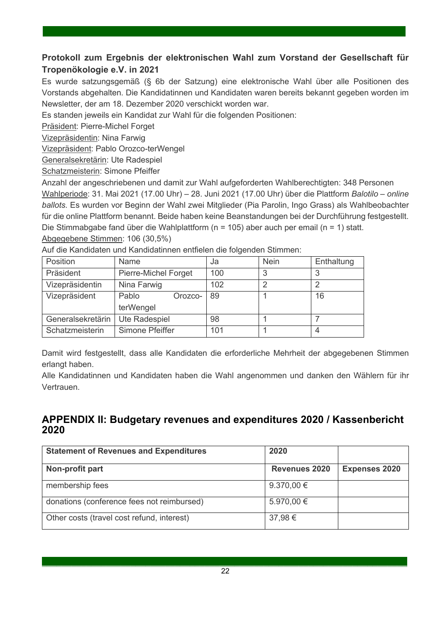# **Protokoll zum Ergebnis der elektronischen Wahl zum Vorstand der Gesellschaft für Tropenökologie e.V. in 2021**

.

Es wurde satzungsgemäß (§ 6b der Satzung) eine elektronische Wahl über alle Positionen des Vorstands abgehalten. Die Kandidatinnen und Kandidaten waren bereits bekannt gegeben worden im Newsletter, der am 18. Dezember 2020 verschickt worden war.

Es standen jeweils ein Kandidat zur Wahl für die folgenden Positionen:

Präsident: Pierre-Michel Forget

Vizepräsidentin: Nina Farwig

Vizepräsident: Pablo Orozco-terWengel

Generalsekretärin: Ute Radespiel

Schatzmeisterin: Simone Pfeiffer

Anzahl der angeschriebenen und damit zur Wahl aufgeforderten Wahlberechtigten: 348 Personen Wahlperiode: 31. Mai 2021 (17.00 Uhr) – 28. Juni 2021 (17.00 Uhr) über die Plattform *Balotilo – online ballots.* Es wurden vor Beginn der Wahl zwei Mitglieder (Pia Parolin, Ingo Grass) als Wahlbeobachter für die online Plattform benannt. Beide haben keine Beanstandungen bei der Durchführung festgestellt. Die Stimmabgabe fand über die Wahlplattform (n = 105) aber auch per email (n = 1) statt. Abgegebene Stimmen: 106 (30,5%)

| Position          | Name                        | Ja  | <b>Nein</b> | Enthaltung |
|-------------------|-----------------------------|-----|-------------|------------|
| Präsident         | <b>Pierre-Michel Forget</b> | 100 | 3           |            |
| Vizepräsidentin   | Nina Farwig                 | 102 | っ           |            |
| Vizepräsident     | Pablo<br>Orozco-            | 89  |             | 16         |
|                   | terWengel                   |     |             |            |
| Generalsekretärin | Ute Radespiel               | 98  |             |            |
| Schatzmeisterin   | Simone Pfeiffer             | 101 |             |            |

Auf die Kandidaten und Kandidatinnen entfielen die folgenden Stimmen:

Damit wird festgestellt, dass alle Kandidaten die erforderliche Mehrheit der abgegebenen Stimmen erlangt haben.

Alle Kandidatinnen und Kandidaten haben die Wahl angenommen und danken den Wählern für ihr Vertrauen.

### **APPENDIX II: Budgetary revenues and expenditures 2020 / Kassenbericht 2020**

| <b>Statement of Revenues and Expenditures</b> | 2020                 |                      |
|-----------------------------------------------|----------------------|----------------------|
| Non-profit part                               | <b>Revenues 2020</b> | <b>Expenses 2020</b> |
| membership fees                               | 9.370,00 $\in$       |                      |
| donations (conference fees not reimbursed)    | 5.970,00 €           |                      |
| Other costs (travel cost refund, interest)    | 37,98€               |                      |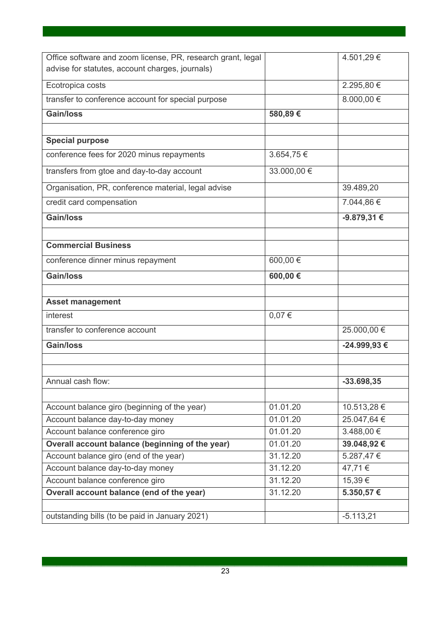| Office software and zoom license, PR, research grant, legal |             | 4.501,29€     |
|-------------------------------------------------------------|-------------|---------------|
| advise for statutes, account charges, journals)             |             |               |
| Ecotropica costs                                            |             | 2.295,80 €    |
| transfer to conference account for special purpose          |             | 8.000,00 €    |
| <b>Gain/loss</b>                                            | 580,89€     |               |
| <b>Special purpose</b>                                      |             |               |
| conference fees for 2020 minus repayments                   | 3.654,75€   |               |
| transfers from gtoe and day-to-day account                  | 33.000,00 € |               |
| Organisation, PR, conference material, legal advise         |             | 39.489,20     |
| credit card compensation                                    |             | 7.044,86 €    |
| <b>Gain/loss</b>                                            |             | -9.879,31 €   |
|                                                             |             |               |
| <b>Commercial Business</b>                                  |             |               |
| conference dinner minus repayment                           | 600,00 €    |               |
| <b>Gain/loss</b>                                            | 600,00€     |               |
| <b>Asset management</b>                                     |             |               |
| interest                                                    | 0,07€       |               |
| transfer to conference account                              |             | 25.000,00 €   |
| <b>Gain/loss</b>                                            |             | -24.999,93€   |
|                                                             |             |               |
| Annual cash flow:                                           |             | $-33.698, 35$ |
|                                                             |             |               |
| Account balance giro (beginning of the year)                | 01.01.20    | 10.513,28 €   |
| Account balance day-to-day money                            | 01.01.20    | 25.047,64€    |
| Account balance conference giro                             | 01.01.20    | 3.488,00 €    |
| Overall account balance (beginning of the year)             | 01.01.20    | 39.048,92 €   |
| Account balance giro (end of the year)                      | 31.12.20    | 5.287,47€     |
| Account balance day-to-day money                            | 31.12.20    | 47,71€        |
| Account balance conference giro                             | 31.12.20    | 15,39€        |
| Overall account balance (end of the year)                   | 31.12.20    | 5.350,57€     |
|                                                             |             |               |
| outstanding bills (to be paid in January 2021)              |             | $-5.113,21$   |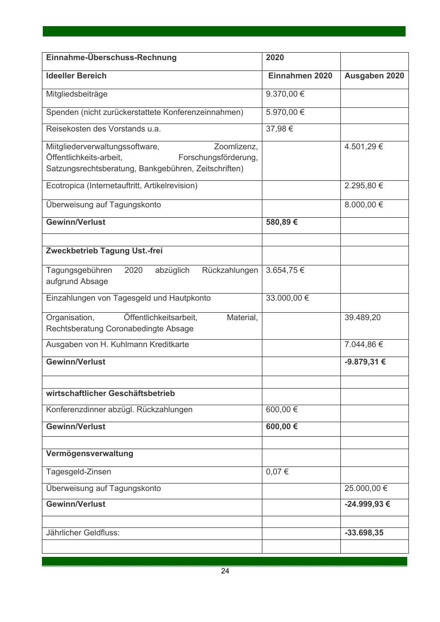| Einnahme-Überschuss-Rechnung                                                                                                                              | 2020           |                 |
|-----------------------------------------------------------------------------------------------------------------------------------------------------------|----------------|-----------------|
| <b>Ideeller Bereich</b>                                                                                                                                   | Einnahmen 2020 | Ausgaben 2020   |
| Mitgliedsbeiträge                                                                                                                                         | 9.370,00 €     |                 |
| Spenden (nicht zurückerstattete Konferenzeinnahmen)                                                                                                       | 5.970,00 €     |                 |
| Reisekosten des Vorstands u.a.                                                                                                                            | 37,98€         |                 |
| Zoomlizenz,<br>Miitgliederverwaltungssoftware,<br>Öffentlichkeits-arbeit,<br>Forschungsförderung,<br>Satzungsrechtsberatung, Bankgebühren, Zeitschriften) |                | 4.501,29€       |
| Ecotropica (Internetauftritt, Artikelrevision)                                                                                                            |                | 2.295,80 €      |
| Überweisung auf Tagungskonto                                                                                                                              |                | 8.000,00 €      |
| <b>Gewinn/Verlust</b>                                                                                                                                     | 580,89€        |                 |
| Zweckbetrieb Tagung Ust.-frei                                                                                                                             |                |                 |
| Tagungsgebühren<br>abzüglich<br>Rückzahlungen<br>2020<br>aufgrund Absage                                                                                  | 3.654,75€      |                 |
| Einzahlungen von Tagesgeld und Hautpkonto                                                                                                                 | 33.000,00 €    |                 |
| Organisation,<br>Öffentlichkeitsarbeit,<br>Material,<br>Rechtsberatung Coronabedingte Absage                                                              |                | 39.489,20       |
| Ausgaben von H. Kuhlmann Kreditkarte                                                                                                                      |                | 7.044,86 €      |
| Gewinn/Verlust                                                                                                                                            |                | $-9.879,31 \in$ |
| wirtschaftlicher Geschäftsbetrieb                                                                                                                         |                |                 |
| Konferenzdinner abzügl. Rückzahlungen                                                                                                                     | 600,00 €       |                 |
| <b>Gewinn/Verlust</b>                                                                                                                                     | 600,00€        |                 |
| Vermögensverwaltung                                                                                                                                       |                |                 |
| Tagesgeld-Zinsen                                                                                                                                          | $0,07 \in$     |                 |
| Überweisung auf Tagungskonto                                                                                                                              |                | 25.000,00 €     |
| <b>Gewinn/Verlust</b>                                                                                                                                     |                | -24.999,93€     |
| Jährlicher Geldfluss:                                                                                                                                     |                | $-33.698, 35$   |
|                                                                                                                                                           |                |                 |